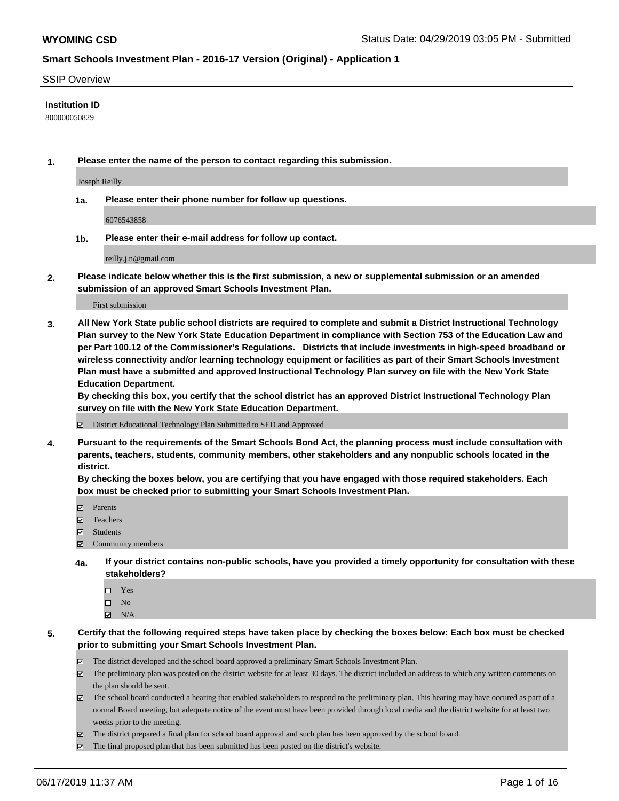#### SSIP Overview

### **Institution ID**

800000050829

**1. Please enter the name of the person to contact regarding this submission.**

Joseph Reilly

**1a. Please enter their phone number for follow up questions.**

6076543858

**1b. Please enter their e-mail address for follow up contact.**

reilly.j.n@gmail.com

**2. Please indicate below whether this is the first submission, a new or supplemental submission or an amended submission of an approved Smart Schools Investment Plan.**

First submission

**3. All New York State public school districts are required to complete and submit a District Instructional Technology Plan survey to the New York State Education Department in compliance with Section 753 of the Education Law and per Part 100.12 of the Commissioner's Regulations. Districts that include investments in high-speed broadband or wireless connectivity and/or learning technology equipment or facilities as part of their Smart Schools Investment Plan must have a submitted and approved Instructional Technology Plan survey on file with the New York State Education Department.** 

**By checking this box, you certify that the school district has an approved District Instructional Technology Plan survey on file with the New York State Education Department.**

District Educational Technology Plan Submitted to SED and Approved

**4. Pursuant to the requirements of the Smart Schools Bond Act, the planning process must include consultation with parents, teachers, students, community members, other stakeholders and any nonpublic schools located in the district.** 

**By checking the boxes below, you are certifying that you have engaged with those required stakeholders. Each box must be checked prior to submitting your Smart Schools Investment Plan.**

- Parents
- Teachers
- Students
- $\Xi$  Community members
- **4a. If your district contains non-public schools, have you provided a timely opportunity for consultation with these stakeholders?**
	- □ Yes
	- $\square$  No
	- $N/A$
- **5. Certify that the following required steps have taken place by checking the boxes below: Each box must be checked prior to submitting your Smart Schools Investment Plan.**
	- The district developed and the school board approved a preliminary Smart Schools Investment Plan.
	- $\boxtimes$  The preliminary plan was posted on the district website for at least 30 days. The district included an address to which any written comments on the plan should be sent.
	- $\boxtimes$  The school board conducted a hearing that enabled stakeholders to respond to the preliminary plan. This hearing may have occured as part of a normal Board meeting, but adequate notice of the event must have been provided through local media and the district website for at least two weeks prior to the meeting.
	- The district prepared a final plan for school board approval and such plan has been approved by the school board.
	- $\boxtimes$  The final proposed plan that has been submitted has been posted on the district's website.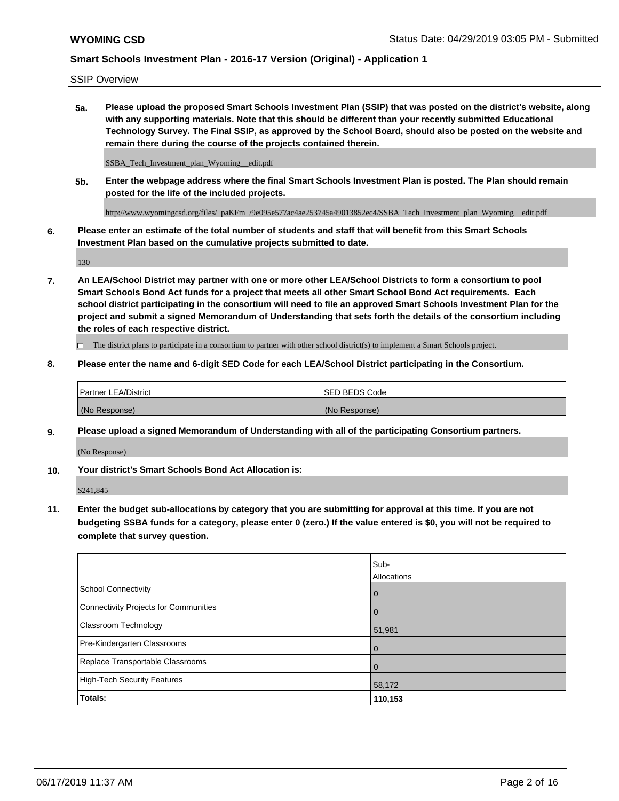SSIP Overview

**5a. Please upload the proposed Smart Schools Investment Plan (SSIP) that was posted on the district's website, along with any supporting materials. Note that this should be different than your recently submitted Educational Technology Survey. The Final SSIP, as approved by the School Board, should also be posted on the website and remain there during the course of the projects contained therein.**

SSBA\_Tech\_Investment\_plan\_Wyoming\_\_edit.pdf

**5b. Enter the webpage address where the final Smart Schools Investment Plan is posted. The Plan should remain posted for the life of the included projects.**

http://www.wyomingcsd.org/files/\_paKFm\_/9e095e577ac4ae253745a49013852ec4/SSBA\_Tech\_Investment\_plan\_Wyoming\_\_edit.pdf

**6. Please enter an estimate of the total number of students and staff that will benefit from this Smart Schools Investment Plan based on the cumulative projects submitted to date.**

130

**7. An LEA/School District may partner with one or more other LEA/School Districts to form a consortium to pool Smart Schools Bond Act funds for a project that meets all other Smart School Bond Act requirements. Each school district participating in the consortium will need to file an approved Smart Schools Investment Plan for the project and submit a signed Memorandum of Understanding that sets forth the details of the consortium including the roles of each respective district.**

 $\Box$  The district plans to participate in a consortium to partner with other school district(s) to implement a Smart Schools project.

### **8. Please enter the name and 6-digit SED Code for each LEA/School District participating in the Consortium.**

| <b>Partner LEA/District</b> | <b>ISED BEDS Code</b> |
|-----------------------------|-----------------------|
| (No Response)               | (No Response)         |

### **9. Please upload a signed Memorandum of Understanding with all of the participating Consortium partners.**

(No Response)

**10. Your district's Smart Schools Bond Act Allocation is:**

\$241,845

**11. Enter the budget sub-allocations by category that you are submitting for approval at this time. If you are not budgeting SSBA funds for a category, please enter 0 (zero.) If the value entered is \$0, you will not be required to complete that survey question.**

|                                       | Sub-<br><b>Allocations</b> |
|---------------------------------------|----------------------------|
| School Connectivity                   | l 0                        |
| Connectivity Projects for Communities | $\overline{0}$             |
| <b>Classroom Technology</b>           | 51,981                     |
| Pre-Kindergarten Classrooms           | $\overline{0}$             |
| Replace Transportable Classrooms      | $\Omega$                   |
| High-Tech Security Features           | 58,172                     |
| Totals:                               | 110,153                    |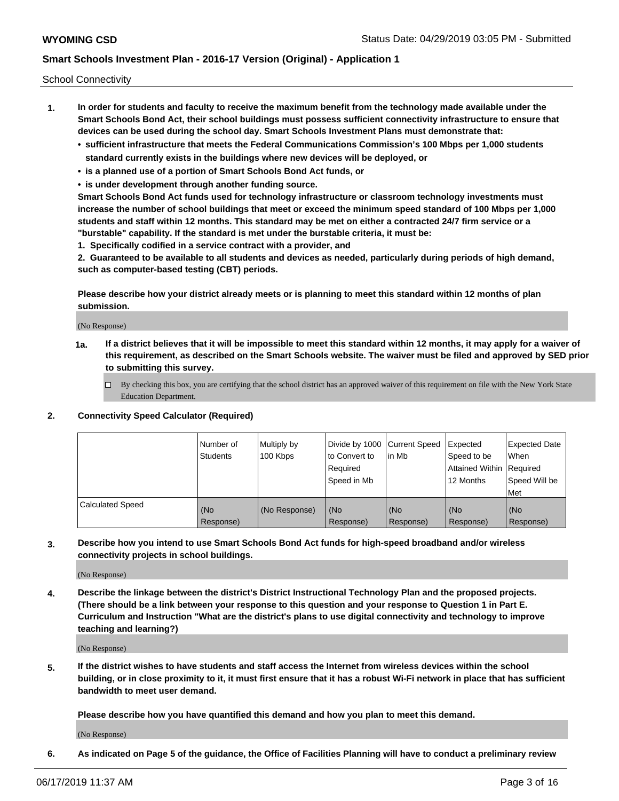School Connectivity

- **1. In order for students and faculty to receive the maximum benefit from the technology made available under the Smart Schools Bond Act, their school buildings must possess sufficient connectivity infrastructure to ensure that devices can be used during the school day. Smart Schools Investment Plans must demonstrate that:**
	- **• sufficient infrastructure that meets the Federal Communications Commission's 100 Mbps per 1,000 students standard currently exists in the buildings where new devices will be deployed, or**
	- **• is a planned use of a portion of Smart Schools Bond Act funds, or**
	- **• is under development through another funding source.**

**Smart Schools Bond Act funds used for technology infrastructure or classroom technology investments must increase the number of school buildings that meet or exceed the minimum speed standard of 100 Mbps per 1,000 students and staff within 12 months. This standard may be met on either a contracted 24/7 firm service or a "burstable" capability. If the standard is met under the burstable criteria, it must be:**

**1. Specifically codified in a service contract with a provider, and**

**2. Guaranteed to be available to all students and devices as needed, particularly during periods of high demand, such as computer-based testing (CBT) periods.**

**Please describe how your district already meets or is planning to meet this standard within 12 months of plan submission.**

(No Response)

**1a. If a district believes that it will be impossible to meet this standard within 12 months, it may apply for a waiver of this requirement, as described on the Smart Schools website. The waiver must be filed and approved by SED prior to submitting this survey.**

 $\Box$  By checking this box, you are certifying that the school district has an approved waiver of this requirement on file with the New York State Education Department.

#### **2. Connectivity Speed Calculator (Required)**

|                         | Number of<br>Students | Multiply by<br>100 Kbps | Divide by 1000 Current Speed<br>to Convert to<br>Required<br>Speed in Mb | lin Mb           | Expected<br>Speed to be<br>Attained Within   Required<br>12 Months | <b>Expected Date</b><br>When<br>Speed Will be<br><b>Met</b> |
|-------------------------|-----------------------|-------------------------|--------------------------------------------------------------------------|------------------|--------------------------------------------------------------------|-------------------------------------------------------------|
| <b>Calculated Speed</b> | (No<br>Response)      | (No Response)           | (No<br>Response)                                                         | (No<br>Response) | (No<br>Response)                                                   | (No<br>Response)                                            |

**3. Describe how you intend to use Smart Schools Bond Act funds for high-speed broadband and/or wireless connectivity projects in school buildings.**

(No Response)

**4. Describe the linkage between the district's District Instructional Technology Plan and the proposed projects. (There should be a link between your response to this question and your response to Question 1 in Part E. Curriculum and Instruction "What are the district's plans to use digital connectivity and technology to improve teaching and learning?)**

(No Response)

**5. If the district wishes to have students and staff access the Internet from wireless devices within the school building, or in close proximity to it, it must first ensure that it has a robust Wi-Fi network in place that has sufficient bandwidth to meet user demand.**

**Please describe how you have quantified this demand and how you plan to meet this demand.**

(No Response)

**6. As indicated on Page 5 of the guidance, the Office of Facilities Planning will have to conduct a preliminary review**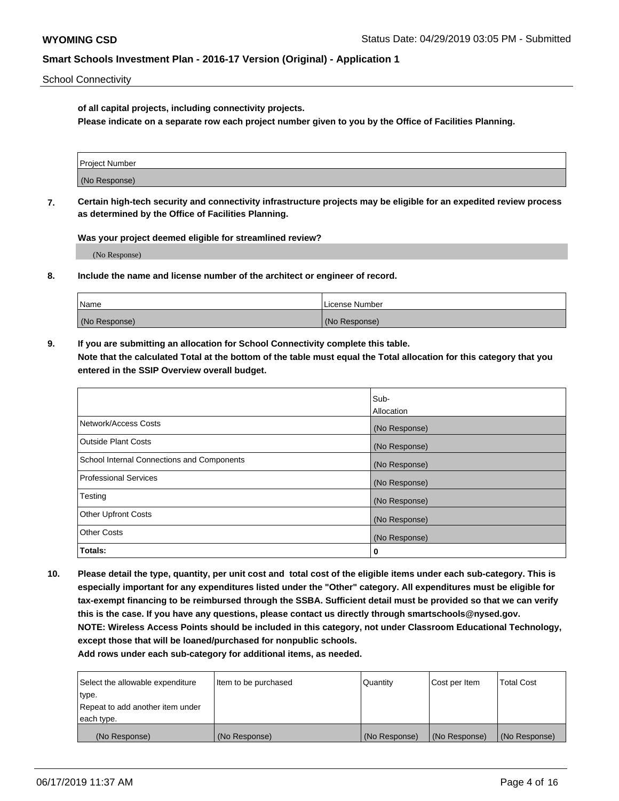School Connectivity

**of all capital projects, including connectivity projects.**

**Please indicate on a separate row each project number given to you by the Office of Facilities Planning.**

| Project Number |  |
|----------------|--|
|                |  |
|                |  |
|                |  |
| (No Response)  |  |
|                |  |
|                |  |
|                |  |

**7. Certain high-tech security and connectivity infrastructure projects may be eligible for an expedited review process as determined by the Office of Facilities Planning.**

**Was your project deemed eligible for streamlined review?**

(No Response)

**8. Include the name and license number of the architect or engineer of record.**

| Name          | License Number |
|---------------|----------------|
| (No Response) | (No Response)  |

**9. If you are submitting an allocation for School Connectivity complete this table. Note that the calculated Total at the bottom of the table must equal the Total allocation for this category that you entered in the SSIP Overview overall budget.** 

|                                            | Sub-              |
|--------------------------------------------|-------------------|
|                                            | <b>Allocation</b> |
| Network/Access Costs                       | (No Response)     |
| <b>Outside Plant Costs</b>                 | (No Response)     |
| School Internal Connections and Components | (No Response)     |
| <b>Professional Services</b>               | (No Response)     |
| Testing                                    | (No Response)     |
| <b>Other Upfront Costs</b>                 | (No Response)     |
| <b>Other Costs</b>                         | (No Response)     |
| Totals:                                    | 0                 |

**10. Please detail the type, quantity, per unit cost and total cost of the eligible items under each sub-category. This is especially important for any expenditures listed under the "Other" category. All expenditures must be eligible for tax-exempt financing to be reimbursed through the SSBA. Sufficient detail must be provided so that we can verify this is the case. If you have any questions, please contact us directly through smartschools@nysed.gov. NOTE: Wireless Access Points should be included in this category, not under Classroom Educational Technology, except those that will be loaned/purchased for nonpublic schools.**

| Select the allowable expenditure | Item to be purchased | Quantity      | <b>Cost per Item</b> | <b>Total Cost</b> |
|----------------------------------|----------------------|---------------|----------------------|-------------------|
| type.                            |                      |               |                      |                   |
| Repeat to add another item under |                      |               |                      |                   |
| each type.                       |                      |               |                      |                   |
| (No Response)                    | (No Response)        | (No Response) | (No Response)        | (No Response)     |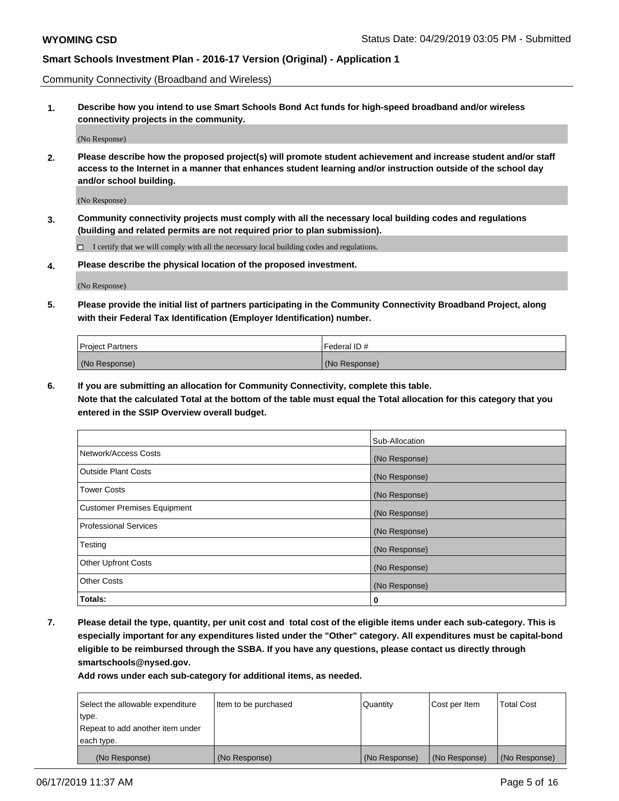Community Connectivity (Broadband and Wireless)

**1. Describe how you intend to use Smart Schools Bond Act funds for high-speed broadband and/or wireless connectivity projects in the community.**

(No Response)

**2. Please describe how the proposed project(s) will promote student achievement and increase student and/or staff access to the Internet in a manner that enhances student learning and/or instruction outside of the school day and/or school building.**

(No Response)

**3. Community connectivity projects must comply with all the necessary local building codes and regulations (building and related permits are not required prior to plan submission).**

 $\Box$  I certify that we will comply with all the necessary local building codes and regulations.

**4. Please describe the physical location of the proposed investment.**

(No Response)

**5. Please provide the initial list of partners participating in the Community Connectivity Broadband Project, along with their Federal Tax Identification (Employer Identification) number.**

| <b>Project Partners</b> | Federal ID#   |
|-------------------------|---------------|
| (No Response)           | (No Response) |

**6. If you are submitting an allocation for Community Connectivity, complete this table.**

**Note that the calculated Total at the bottom of the table must equal the Total allocation for this category that you entered in the SSIP Overview overall budget.**

|                                    | Sub-Allocation |
|------------------------------------|----------------|
| Network/Access Costs               | (No Response)  |
| <b>Outside Plant Costs</b>         | (No Response)  |
| <b>Tower Costs</b>                 | (No Response)  |
| <b>Customer Premises Equipment</b> | (No Response)  |
| <b>Professional Services</b>       | (No Response)  |
| Testing                            | (No Response)  |
| <b>Other Upfront Costs</b>         | (No Response)  |
| <b>Other Costs</b>                 | (No Response)  |
| Totals:                            | 0              |

**7. Please detail the type, quantity, per unit cost and total cost of the eligible items under each sub-category. This is especially important for any expenditures listed under the "Other" category. All expenditures must be capital-bond eligible to be reimbursed through the SSBA. If you have any questions, please contact us directly through smartschools@nysed.gov.**

| Select the allowable expenditure | Item to be purchased | Quantity      | Cost per Item | <b>Total Cost</b> |
|----------------------------------|----------------------|---------------|---------------|-------------------|
| type.                            |                      |               |               |                   |
| Repeat to add another item under |                      |               |               |                   |
| each type.                       |                      |               |               |                   |
| (No Response)                    | (No Response)        | (No Response) | (No Response) | (No Response)     |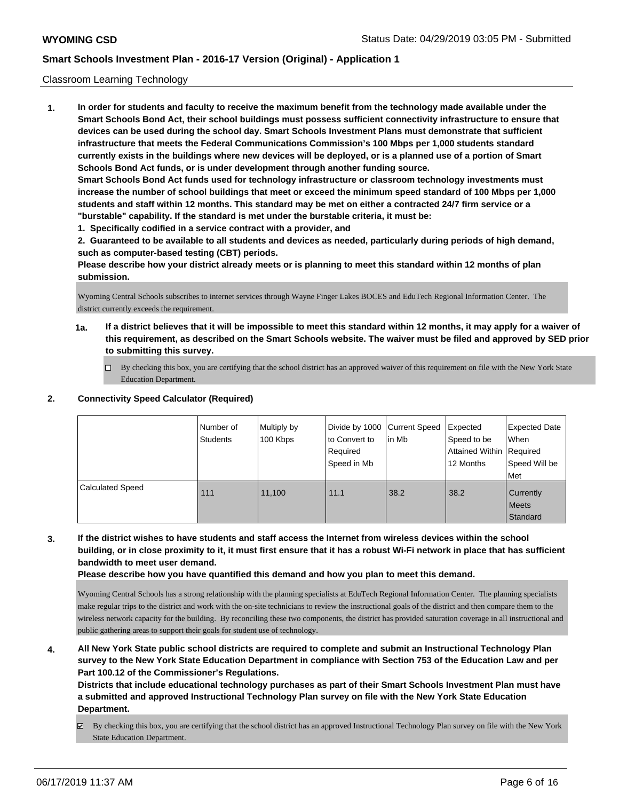### Classroom Learning Technology

**1. In order for students and faculty to receive the maximum benefit from the technology made available under the Smart Schools Bond Act, their school buildings must possess sufficient connectivity infrastructure to ensure that devices can be used during the school day. Smart Schools Investment Plans must demonstrate that sufficient infrastructure that meets the Federal Communications Commission's 100 Mbps per 1,000 students standard currently exists in the buildings where new devices will be deployed, or is a planned use of a portion of Smart Schools Bond Act funds, or is under development through another funding source. Smart Schools Bond Act funds used for technology infrastructure or classroom technology investments must increase the number of school buildings that meet or exceed the minimum speed standard of 100 Mbps per 1,000 students and staff within 12 months. This standard may be met on either a contracted 24/7 firm service or a "burstable" capability. If the standard is met under the burstable criteria, it must be:**

**1. Specifically codified in a service contract with a provider, and**

**2. Guaranteed to be available to all students and devices as needed, particularly during periods of high demand, such as computer-based testing (CBT) periods.**

**Please describe how your district already meets or is planning to meet this standard within 12 months of plan submission.**

Wyoming Central Schools subscribes to internet services through Wayne Finger Lakes BOCES and EduTech Regional Information Center. The district currently exceeds the requirement.

- **1a. If a district believes that it will be impossible to meet this standard within 12 months, it may apply for a waiver of this requirement, as described on the Smart Schools website. The waiver must be filed and approved by SED prior to submitting this survey.**
	- By checking this box, you are certifying that the school district has an approved waiver of this requirement on file with the New York State Education Department.

### **2. Connectivity Speed Calculator (Required)**

|                         | Number of<br><b>Students</b> | Multiply by<br>100 Kbps | Divide by 1000 Current Speed<br>to Convert to<br>Required<br>Speed in Mb | lin Mb | Expected<br>Speed to be<br>Attained Within Required<br>12 Months | <b>Expected Date</b><br>When<br>Speed Will be<br>Met |
|-------------------------|------------------------------|-------------------------|--------------------------------------------------------------------------|--------|------------------------------------------------------------------|------------------------------------------------------|
| <b>Calculated Speed</b> | 111                          | 11.100                  | 11.1                                                                     | 38.2   | 38.2                                                             | Currently<br><b>Meets</b><br>Standard                |

**3. If the district wishes to have students and staff access the Internet from wireless devices within the school building, or in close proximity to it, it must first ensure that it has a robust Wi-Fi network in place that has sufficient bandwidth to meet user demand.**

**Please describe how you have quantified this demand and how you plan to meet this demand.**

Wyoming Central Schools has a strong relationship with the planning specialists at EduTech Regional Information Center. The planning specialists make regular trips to the district and work with the on-site technicians to review the instructional goals of the district and then compare them to the wireless network capacity for the building. By reconciling these two components, the district has provided saturation coverage in all instructional and public gathering areas to support their goals for student use of technology.

**4. All New York State public school districts are required to complete and submit an Instructional Technology Plan survey to the New York State Education Department in compliance with Section 753 of the Education Law and per Part 100.12 of the Commissioner's Regulations.**

**Districts that include educational technology purchases as part of their Smart Schools Investment Plan must have a submitted and approved Instructional Technology Plan survey on file with the New York State Education Department.**

By checking this box, you are certifying that the school district has an approved Instructional Technology Plan survey on file with the New York State Education Department.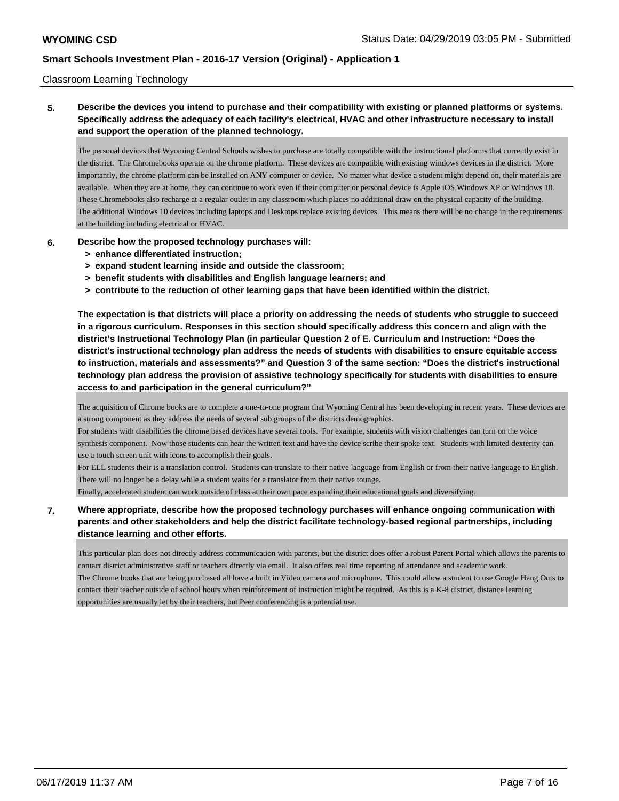#### Classroom Learning Technology

**5. Describe the devices you intend to purchase and their compatibility with existing or planned platforms or systems. Specifically address the adequacy of each facility's electrical, HVAC and other infrastructure necessary to install and support the operation of the planned technology.**

The personal devices that Wyoming Central Schools wishes to purchase are totally compatible with the instructional platforms that currently exist in the district. The Chromebooks operate on the chrome platform. These devices are compatible with existing windows devices in the district. More importantly, the chrome platform can be installed on ANY computer or device. No matter what device a student might depend on, their materials are available. When they are at home, they can continue to work even if their computer or personal device is Apple iOS,Windows XP or WIndows 10. These Chromebooks also recharge at a regular outlet in any classroom which places no additional draw on the physical capacity of the building. The additional Windows 10 devices including laptops and Desktops replace existing devices. This means there will be no change in the requirements at the building including electrical or HVAC.

- **6. Describe how the proposed technology purchases will:**
	- **> enhance differentiated instruction;**
	- **> expand student learning inside and outside the classroom;**
	- **> benefit students with disabilities and English language learners; and**
	- **> contribute to the reduction of other learning gaps that have been identified within the district.**

**The expectation is that districts will place a priority on addressing the needs of students who struggle to succeed in a rigorous curriculum. Responses in this section should specifically address this concern and align with the district's Instructional Technology Plan (in particular Question 2 of E. Curriculum and Instruction: "Does the district's instructional technology plan address the needs of students with disabilities to ensure equitable access to instruction, materials and assessments?" and Question 3 of the same section: "Does the district's instructional technology plan address the provision of assistive technology specifically for students with disabilities to ensure access to and participation in the general curriculum?"**

The acquisition of Chrome books are to complete a one-to-one program that Wyoming Central has been developing in recent years. These devices are a strong component as they address the needs of several sub groups of the districts demographics.

For students with disabilities the chrome based devices have several tools. For example, students with vision challenges can turn on the voice synthesis component. Now those students can hear the written text and have the device scribe their spoke text. Students with limited dexterity can use a touch screen unit with icons to accomplish their goals.

For ELL students their is a translation control. Students can translate to their native language from English or from their native language to English. There will no longer be a delay while a student waits for a translator from their native tounge.

Finally, accelerated student can work outside of class at their own pace expanding their educational goals and diversifying.

### **7. Where appropriate, describe how the proposed technology purchases will enhance ongoing communication with parents and other stakeholders and help the district facilitate technology-based regional partnerships, including distance learning and other efforts.**

This particular plan does not directly address communication with parents, but the district does offer a robust Parent Portal which allows the parents to contact district administrative staff or teachers directly via email. It also offers real time reporting of attendance and academic work. The Chrome books that are being purchased all have a built in Video camera and microphone. This could allow a student to use Google Hang Outs to contact their teacher outside of school hours when reinforcement of instruction might be required. As this is a K-8 district, distance learning opportunities are usually let by their teachers, but Peer conferencing is a potential use.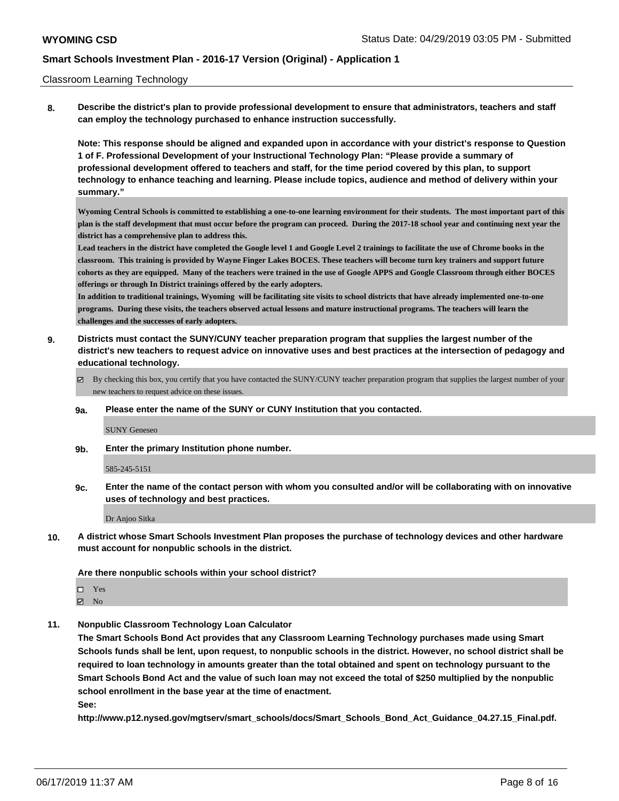#### Classroom Learning Technology

**8. Describe the district's plan to provide professional development to ensure that administrators, teachers and staff can employ the technology purchased to enhance instruction successfully.**

**Note: This response should be aligned and expanded upon in accordance with your district's response to Question 1 of F. Professional Development of your Instructional Technology Plan: "Please provide a summary of professional development offered to teachers and staff, for the time period covered by this plan, to support technology to enhance teaching and learning. Please include topics, audience and method of delivery within your summary."**

**Wyoming Central Schools is committed to establishing a one-to-one learning environment for their students. The most important part of this plan is the staff development that must occur before the program can proceed. During the 2017-18 school year and continuing next year the district has a comprehensive plan to address this.**

**Lead teachers in the district have completed the Google level 1 and Google Level 2 trainings to facilitate the use of Chrome books in the classroom. This training is provided by Wayne Finger Lakes BOCES. These teachers will become turn key trainers and support future cohorts as they are equipped. Many of the teachers were trained in the use of Google APPS and Google Classroom through either BOCES offerings or through In District trainings offered by the early adopters.**

**In addition to traditional trainings, Wyoming will be facilitating site visits to school districts that have already implemented one-to-one programs. During these visits, the teachers observed actual lessons and mature instructional programs. The teachers will learn the challenges and the successes of early adopters.**

- **9. Districts must contact the SUNY/CUNY teacher preparation program that supplies the largest number of the district's new teachers to request advice on innovative uses and best practices at the intersection of pedagogy and educational technology.**
	- By checking this box, you certify that you have contacted the SUNY/CUNY teacher preparation program that supplies the largest number of your new teachers to request advice on these issues.

#### **9a. Please enter the name of the SUNY or CUNY Institution that you contacted.**

SUNY Geneseo

**9b. Enter the primary Institution phone number.**

585-245-5151

**9c. Enter the name of the contact person with whom you consulted and/or will be collaborating with on innovative uses of technology and best practices.**

Dr Anjoo Sitka

**10. A district whose Smart Schools Investment Plan proposes the purchase of technology devices and other hardware must account for nonpublic schools in the district.**

**Are there nonpublic schools within your school district?**

Yes

**Z** No

**11. Nonpublic Classroom Technology Loan Calculator**

**The Smart Schools Bond Act provides that any Classroom Learning Technology purchases made using Smart Schools funds shall be lent, upon request, to nonpublic schools in the district. However, no school district shall be required to loan technology in amounts greater than the total obtained and spent on technology pursuant to the Smart Schools Bond Act and the value of such loan may not exceed the total of \$250 multiplied by the nonpublic school enrollment in the base year at the time of enactment.**

**See:**

**http://www.p12.nysed.gov/mgtserv/smart\_schools/docs/Smart\_Schools\_Bond\_Act\_Guidance\_04.27.15\_Final.pdf.**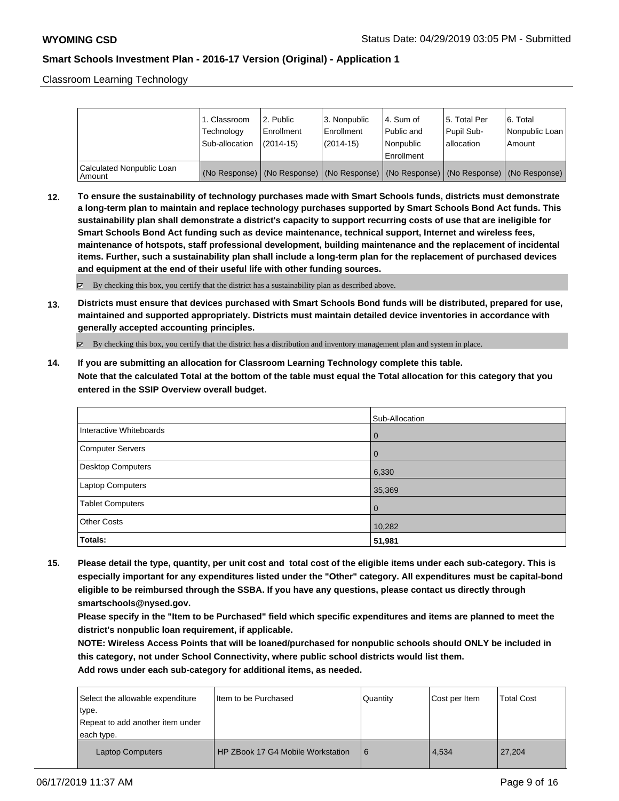Classroom Learning Technology

|                                     | 1. Classroom<br>Technology<br>Sub-allocation | l 2. Public<br>Enrollment<br>$(2014-15)$ | 3. Nonpublic<br>Enrollment<br>$(2014-15)$ | l 4. Sum of<br>Public and<br>l Nonpublic                                                      | 15. Total Per<br>Pupil Sub-<br>lallocation | 6. Total<br>Nonpublic Loan  <br>Amount |
|-------------------------------------|----------------------------------------------|------------------------------------------|-------------------------------------------|-----------------------------------------------------------------------------------------------|--------------------------------------------|----------------------------------------|
|                                     |                                              |                                          |                                           | Enrollment                                                                                    |                                            |                                        |
| Calculated Nonpublic Loan<br>Amount |                                              |                                          |                                           | (No Response)   (No Response)   (No Response)   (No Response)   (No Response)   (No Response) |                                            |                                        |

**12. To ensure the sustainability of technology purchases made with Smart Schools funds, districts must demonstrate a long-term plan to maintain and replace technology purchases supported by Smart Schools Bond Act funds. This sustainability plan shall demonstrate a district's capacity to support recurring costs of use that are ineligible for Smart Schools Bond Act funding such as device maintenance, technical support, Internet and wireless fees, maintenance of hotspots, staff professional development, building maintenance and the replacement of incidental items. Further, such a sustainability plan shall include a long-term plan for the replacement of purchased devices and equipment at the end of their useful life with other funding sources.**

 $\boxtimes$  By checking this box, you certify that the district has a sustainability plan as described above.

**13. Districts must ensure that devices purchased with Smart Schools Bond funds will be distributed, prepared for use, maintained and supported appropriately. Districts must maintain detailed device inventories in accordance with generally accepted accounting principles.**

By checking this box, you certify that the district has a distribution and inventory management plan and system in place.

**14. If you are submitting an allocation for Classroom Learning Technology complete this table. Note that the calculated Total at the bottom of the table must equal the Total allocation for this category that you entered in the SSIP Overview overall budget.**

|                          | Sub-Allocation |
|--------------------------|----------------|
| Interactive Whiteboards  | l 0            |
| Computer Servers         | l 0            |
| <b>Desktop Computers</b> | 6,330          |
| <b>Laptop Computers</b>  | 35,369         |
| <b>Tablet Computers</b>  | l 0            |
| <b>Other Costs</b>       | 10,282         |
| Totals:                  | 51,981         |

**15. Please detail the type, quantity, per unit cost and total cost of the eligible items under each sub-category. This is especially important for any expenditures listed under the "Other" category. All expenditures must be capital-bond eligible to be reimbursed through the SSBA. If you have any questions, please contact us directly through smartschools@nysed.gov.**

**Please specify in the "Item to be Purchased" field which specific expenditures and items are planned to meet the district's nonpublic loan requirement, if applicable.**

**NOTE: Wireless Access Points that will be loaned/purchased for nonpublic schools should ONLY be included in this category, not under School Connectivity, where public school districts would list them.**

| Select the allowable expenditure<br>type.<br>Repeat to add another item under<br>each type. | I Item to be Purchased            | Quantity | Cost per Item | <b>Total Cost</b> |
|---------------------------------------------------------------------------------------------|-----------------------------------|----------|---------------|-------------------|
| <b>Laptop Computers</b>                                                                     | HP ZBook 17 G4 Mobile Workstation | 6        | 4.534         | 27.204            |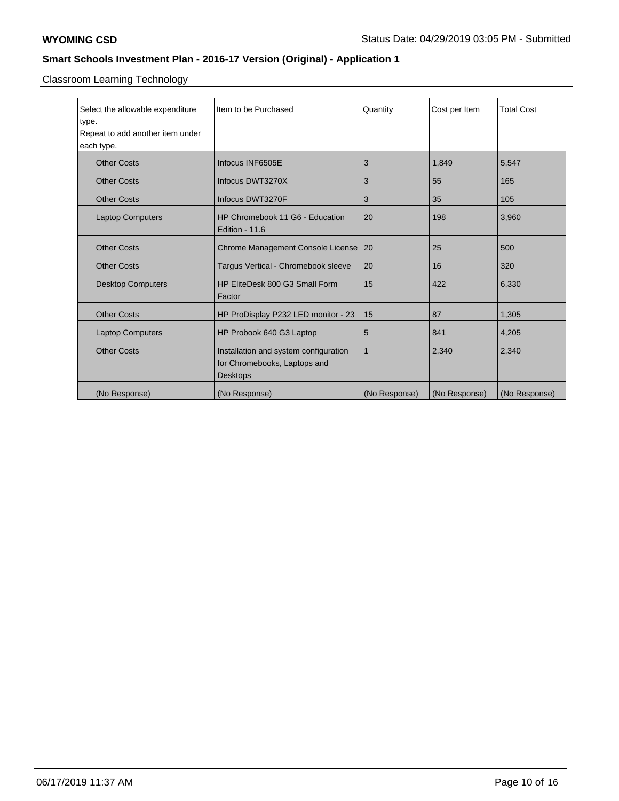Classroom Learning Technology

| Select the allowable expenditure                                     | Item to be Purchased                  | Quantity      | Cost per Item | <b>Total Cost</b> |
|----------------------------------------------------------------------|---------------------------------------|---------------|---------------|-------------------|
| type.                                                                |                                       |               |               |                   |
| Repeat to add another item under                                     |                                       |               |               |                   |
| each type.                                                           |                                       |               |               |                   |
| <b>Other Costs</b>                                                   | Infocus INF6505E                      | 3             | 1,849         | 5,547             |
| <b>Other Costs</b>                                                   | Infocus DWT3270X                      | 3             | 55            | 165               |
| <b>Other Costs</b>                                                   | Infocus DWT3270F                      | 3             | 35            | 105               |
| <b>Laptop Computers</b>                                              | HP Chromebook 11 G6 - Education       | 20            | 198           | 3,960             |
|                                                                      | Edition - 11.6                        |               |               |                   |
| <b>Other Costs</b><br>Chrome Management Console License              |                                       | 20            | 25            | 500               |
| <b>Other Costs</b><br>Targus Vertical - Chromebook sleeve            |                                       | 20            | 16            | 320               |
| <b>Desktop Computers</b><br>HP EliteDesk 800 G3 Small Form<br>Factor |                                       | 15            | 422           | 6,330             |
| <b>Other Costs</b><br>HP ProDisplay P232 LED monitor - 23            |                                       | 15            | 87            | 1,305             |
| HP Probook 640 G3 Laptop<br><b>Laptop Computers</b>                  |                                       | 5             | 841           | 4,205             |
| <b>Other Costs</b>                                                   | Installation and system configuration | $\mathbf 1$   | 2,340         | 2,340             |
|                                                                      | for Chromebooks, Laptops and          |               |               |                   |
|                                                                      | <b>Desktops</b>                       |               |               |                   |
| (No Response)                                                        | (No Response)                         | (No Response) | (No Response) | (No Response)     |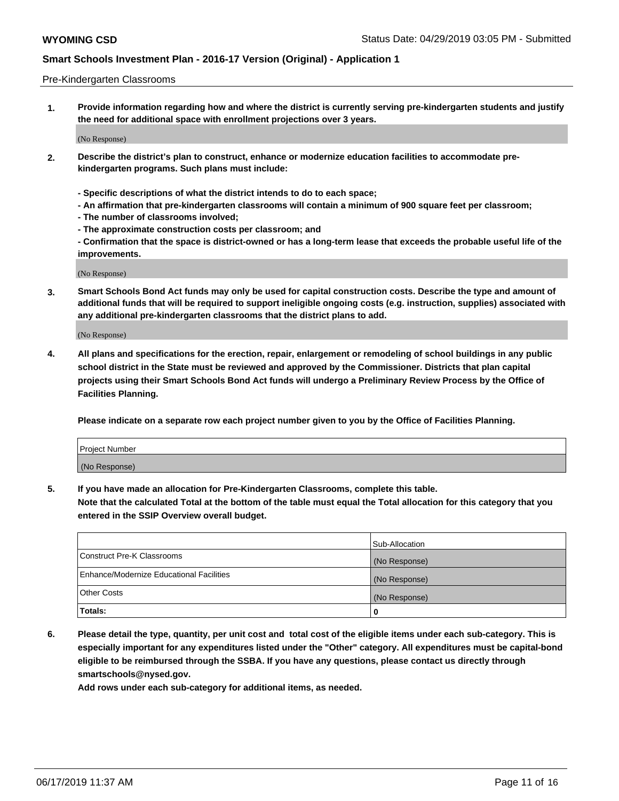#### Pre-Kindergarten Classrooms

**1. Provide information regarding how and where the district is currently serving pre-kindergarten students and justify the need for additional space with enrollment projections over 3 years.**

(No Response)

- **2. Describe the district's plan to construct, enhance or modernize education facilities to accommodate prekindergarten programs. Such plans must include:**
	- **Specific descriptions of what the district intends to do to each space;**
	- **An affirmation that pre-kindergarten classrooms will contain a minimum of 900 square feet per classroom;**
	- **The number of classrooms involved;**
	- **The approximate construction costs per classroom; and**
	- **Confirmation that the space is district-owned or has a long-term lease that exceeds the probable useful life of the improvements.**

(No Response)

**3. Smart Schools Bond Act funds may only be used for capital construction costs. Describe the type and amount of additional funds that will be required to support ineligible ongoing costs (e.g. instruction, supplies) associated with any additional pre-kindergarten classrooms that the district plans to add.**

(No Response)

**4. All plans and specifications for the erection, repair, enlargement or remodeling of school buildings in any public school district in the State must be reviewed and approved by the Commissioner. Districts that plan capital projects using their Smart Schools Bond Act funds will undergo a Preliminary Review Process by the Office of Facilities Planning.**

**Please indicate on a separate row each project number given to you by the Office of Facilities Planning.**

| Project Number |  |
|----------------|--|
| (No Response)  |  |
|                |  |

**5. If you have made an allocation for Pre-Kindergarten Classrooms, complete this table.**

**Note that the calculated Total at the bottom of the table must equal the Total allocation for this category that you entered in the SSIP Overview overall budget.**

|                                          | Sub-Allocation |
|------------------------------------------|----------------|
| Construct Pre-K Classrooms               | (No Response)  |
| Enhance/Modernize Educational Facilities | (No Response)  |
| <b>Other Costs</b>                       | (No Response)  |
| Totals:                                  | 0              |

**6. Please detail the type, quantity, per unit cost and total cost of the eligible items under each sub-category. This is especially important for any expenditures listed under the "Other" category. All expenditures must be capital-bond eligible to be reimbursed through the SSBA. If you have any questions, please contact us directly through smartschools@nysed.gov.**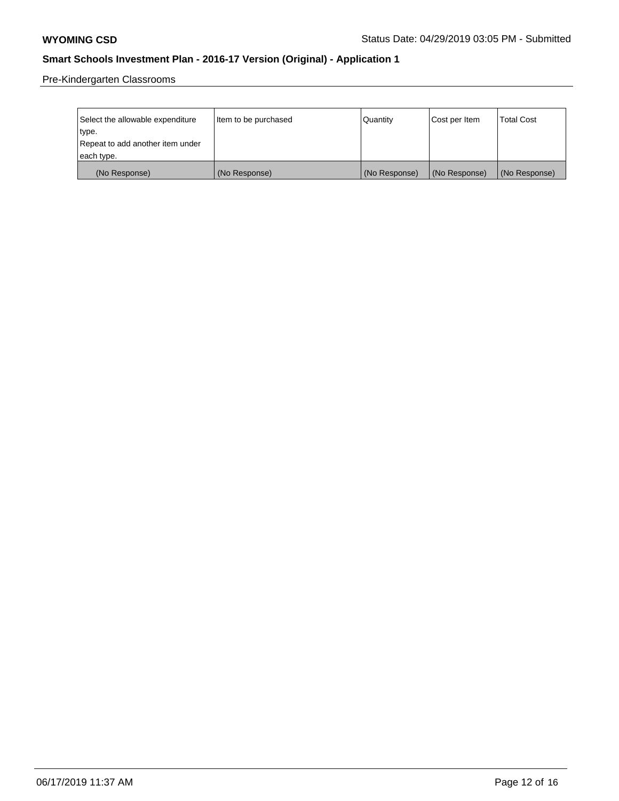Pre-Kindergarten Classrooms

| Select the allowable expenditure | Item to be purchased | Quantity      | Cost per Item | <b>Total Cost</b> |
|----------------------------------|----------------------|---------------|---------------|-------------------|
| type.                            |                      |               |               |                   |
| Repeat to add another item under |                      |               |               |                   |
| each type.                       |                      |               |               |                   |
| (No Response)                    | (No Response)        | (No Response) | (No Response) | (No Response)     |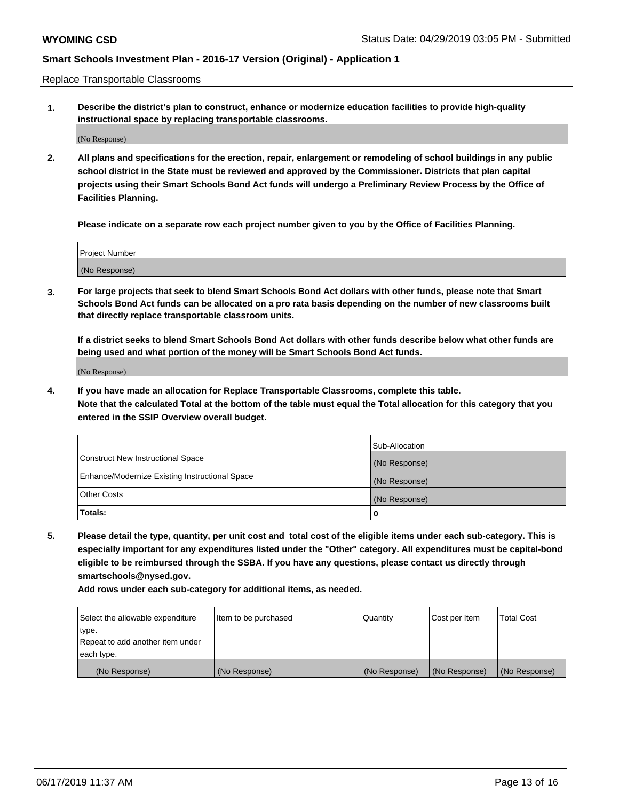Replace Transportable Classrooms

**1. Describe the district's plan to construct, enhance or modernize education facilities to provide high-quality instructional space by replacing transportable classrooms.**

(No Response)

**2. All plans and specifications for the erection, repair, enlargement or remodeling of school buildings in any public school district in the State must be reviewed and approved by the Commissioner. Districts that plan capital projects using their Smart Schools Bond Act funds will undergo a Preliminary Review Process by the Office of Facilities Planning.**

**Please indicate on a separate row each project number given to you by the Office of Facilities Planning.**

| Project Number |  |
|----------------|--|
|                |  |
|                |  |
|                |  |
|                |  |
| (No Response)  |  |
|                |  |
|                |  |
|                |  |

**3. For large projects that seek to blend Smart Schools Bond Act dollars with other funds, please note that Smart Schools Bond Act funds can be allocated on a pro rata basis depending on the number of new classrooms built that directly replace transportable classroom units.**

**If a district seeks to blend Smart Schools Bond Act dollars with other funds describe below what other funds are being used and what portion of the money will be Smart Schools Bond Act funds.**

(No Response)

**4. If you have made an allocation for Replace Transportable Classrooms, complete this table. Note that the calculated Total at the bottom of the table must equal the Total allocation for this category that you entered in the SSIP Overview overall budget.**

|                                                | Sub-Allocation |
|------------------------------------------------|----------------|
| Construct New Instructional Space              | (No Response)  |
| Enhance/Modernize Existing Instructional Space | (No Response)  |
| <b>Other Costs</b>                             | (No Response)  |
| Totals:                                        | 0              |

**5. Please detail the type, quantity, per unit cost and total cost of the eligible items under each sub-category. This is especially important for any expenditures listed under the "Other" category. All expenditures must be capital-bond eligible to be reimbursed through the SSBA. If you have any questions, please contact us directly through smartschools@nysed.gov.**

| Select the allowable expenditure | Item to be purchased | l Quantitv    | Cost per Item | <b>Total Cost</b> |
|----------------------------------|----------------------|---------------|---------------|-------------------|
| type.                            |                      |               |               |                   |
| Repeat to add another item under |                      |               |               |                   |
| each type.                       |                      |               |               |                   |
| (No Response)                    | (No Response)        | (No Response) | (No Response) | (No Response)     |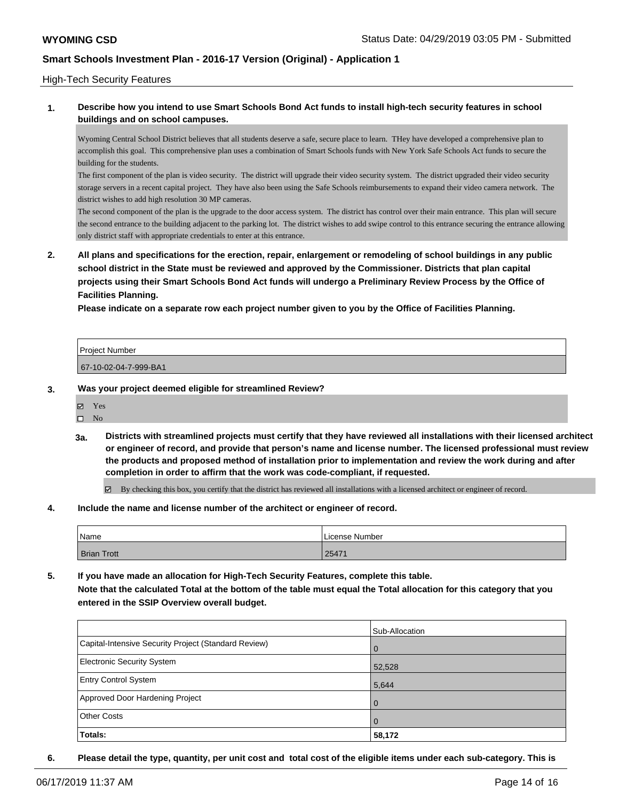### High-Tech Security Features

### **1. Describe how you intend to use Smart Schools Bond Act funds to install high-tech security features in school buildings and on school campuses.**

Wyoming Central School District believes that all students deserve a safe, secure place to learn. THey have developed a comprehensive plan to accomplish this goal. This comprehensive plan uses a combination of Smart Schools funds with New York Safe Schools Act funds to secure the building for the students.

The first component of the plan is video security. The district will upgrade their video security system. The district upgraded their video security storage servers in a recent capital project. They have also been using the Safe Schools reimbursements to expand their video camera network. The district wishes to add high resolution 30 MP cameras.

The second component of the plan is the upgrade to the door access system. The district has control over their main entrance. This plan will secure the second entrance to the building adjacent to the parking lot. The district wishes to add swipe control to this entrance securing the entrance allowing only district staff with appropriate credentials to enter at this entrance.

**2. All plans and specifications for the erection, repair, enlargement or remodeling of school buildings in any public school district in the State must be reviewed and approved by the Commissioner. Districts that plan capital projects using their Smart Schools Bond Act funds will undergo a Preliminary Review Process by the Office of Facilities Planning.** 

**Please indicate on a separate row each project number given to you by the Office of Facilities Planning.**

| <b>Project Number</b> |  |
|-----------------------|--|
| 67-10-02-04-7-999-BA1 |  |

#### **3. Was your project deemed eligible for streamlined Review?**

Yes

 $\hfill \square$  No

**3a. Districts with streamlined projects must certify that they have reviewed all installations with their licensed architect or engineer of record, and provide that person's name and license number. The licensed professional must review the products and proposed method of installation prior to implementation and review the work during and after completion in order to affirm that the work was code-compliant, if requested.**

By checking this box, you certify that the district has reviewed all installations with a licensed architect or engineer of record.

**4. Include the name and license number of the architect or engineer of record.**

| Name               | License Number |
|--------------------|----------------|
| <b>Brian Trott</b> | 25471          |

**5. If you have made an allocation for High-Tech Security Features, complete this table. Note that the calculated Total at the bottom of the table must equal the Total allocation for this category that you entered in the SSIP Overview overall budget.**

|                                                      | Sub-Allocation |
|------------------------------------------------------|----------------|
| Capital-Intensive Security Project (Standard Review) | $\overline{0}$ |
| Electronic Security System                           | 52,528         |
| <b>Entry Control System</b>                          | 5,644          |
| Approved Door Hardening Project                      | $\Omega$       |
| <b>Other Costs</b>                                   | $\overline{0}$ |
| Totals:                                              | 58,172         |

**6. Please detail the type, quantity, per unit cost and total cost of the eligible items under each sub-category. This is**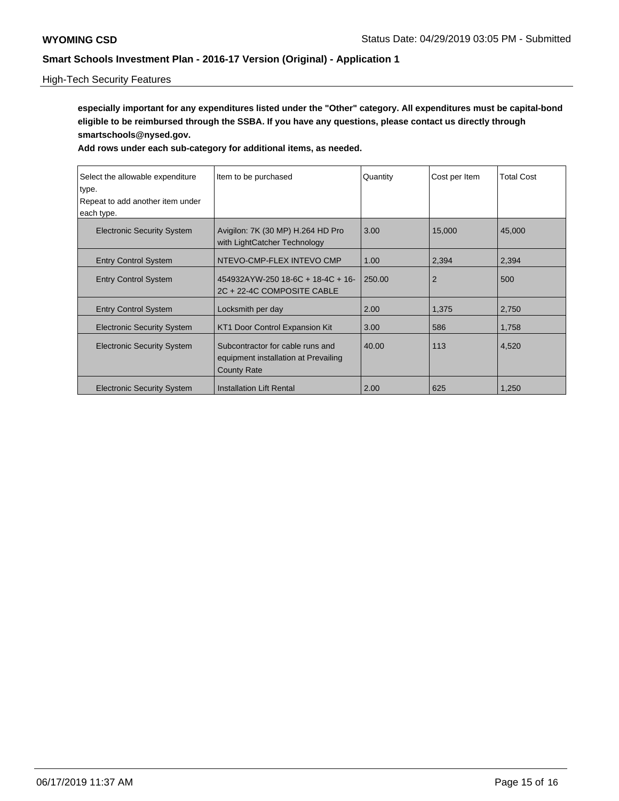## High-Tech Security Features

**especially important for any expenditures listed under the "Other" category. All expenditures must be capital-bond eligible to be reimbursed through the SSBA. If you have any questions, please contact us directly through smartschools@nysed.gov.**

| Select the allowable expenditure<br>type.<br>Repeat to add another item under<br>each type. | Item to be purchased                                                                           | Quantity | Cost per Item  | <b>Total Cost</b> |
|---------------------------------------------------------------------------------------------|------------------------------------------------------------------------------------------------|----------|----------------|-------------------|
| <b>Electronic Security System</b>                                                           | Avigilon: 7K (30 MP) H.264 HD Pro<br>with LightCatcher Technology                              | 3.00     | 15,000         | 45,000            |
| <b>Entry Control System</b>                                                                 | NTEVO-CMP-FLEX INTEVO CMP                                                                      | 1.00     | 2,394          | 2,394             |
| <b>Entry Control System</b>                                                                 | 454932AYW-250 18-6C + 18-4C + 16-<br>2C + 22-4C COMPOSITE CABLE                                | 250.00   | $\overline{2}$ | 500               |
| <b>Entry Control System</b>                                                                 | Locksmith per day                                                                              | 2.00     | 1,375          | 2,750             |
| <b>Electronic Security System</b>                                                           | KT1 Door Control Expansion Kit                                                                 | 3.00     | 586            | 1,758             |
| <b>Electronic Security System</b>                                                           | Subcontractor for cable runs and<br>equipment installation at Prevailing<br><b>County Rate</b> | 40.00    | 113            | 4,520             |
| <b>Electronic Security System</b>                                                           | Installation Lift Rental                                                                       | 2.00     | 625            | 1,250             |